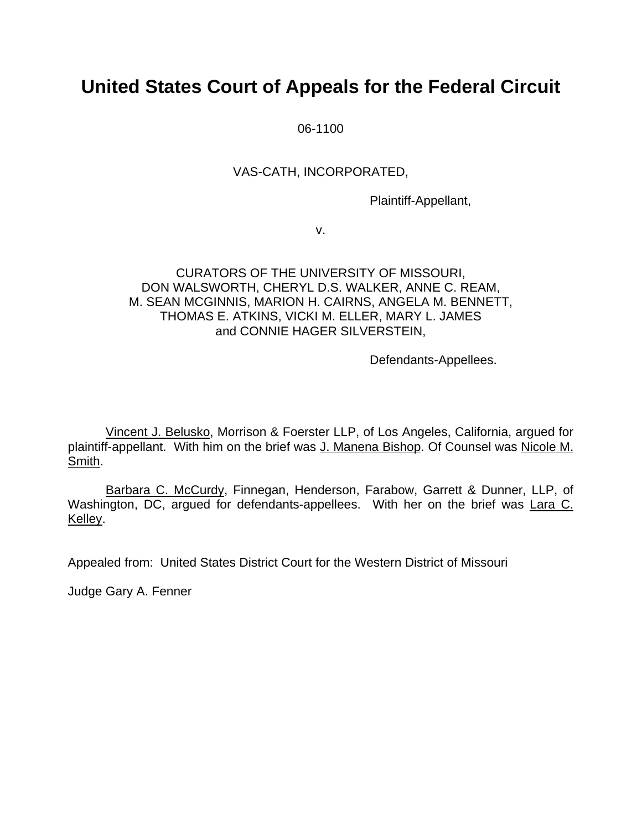# **United States Court of Appeals for the Federal Circuit**

06-1100

# VAS-CATH, INCORPORATED,

Plaintiff-Appellant,

v.

### CURATORS OF THE UNIVERSITY OF MISSOURI, DON WALSWORTH, CHERYL D.S. WALKER, ANNE C. REAM, M. SEAN MCGINNIS, MARION H. CAIRNS, ANGELA M. BENNETT, THOMAS E. ATKINS, VICKI M. ELLER, MARY L. JAMES and CONNIE HAGER SILVERSTEIN,

Defendants-Appellees.

Vincent J. Belusko, Morrison & Foerster LLP, of Los Angeles, California, argued for plaintiff-appellant. With him on the brief was J. Manena Bishop. Of Counsel was Nicole M. Smith.

Barbara C. McCurdy, Finnegan, Henderson, Farabow, Garrett & Dunner, LLP, of Washington, DC, argued for defendants-appellees. With her on the brief was Lara C. Kelley.

Appealed from: United States District Court for the Western District of Missouri

Judge Gary A. Fenner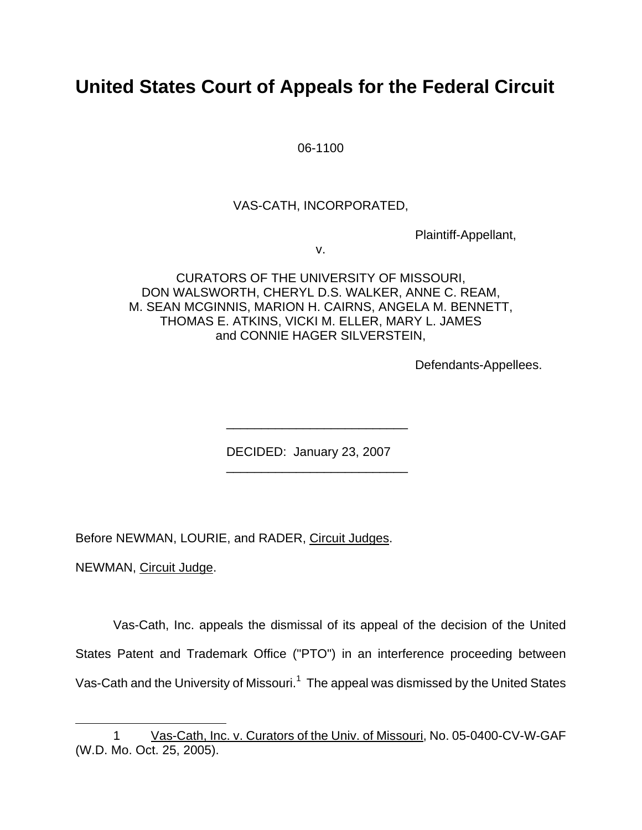# **United States Court of Appeals for the Federal Circuit**

06-1100

## VAS-CATH, INCORPORATED,

Plaintiff-Appellant,

v.

CURATORS OF THE UNIVERSITY OF MISSOURI, DON WALSWORTH, CHERYL D.S. WALKER, ANNE C. REAM, M. SEAN MCGINNIS, MARION H. CAIRNS, ANGELA M. BENNETT, THOMAS E. ATKINS, VICKI M. ELLER, MARY L. JAMES and CONNIE HAGER SILVERSTEIN,

Defendants-Appellees.

DECIDED: January 23, 2007

\_\_\_\_\_\_\_\_\_\_\_\_\_\_\_\_\_\_\_\_\_\_\_\_\_\_

\_\_\_\_\_\_\_\_\_\_\_\_\_\_\_\_\_\_\_\_\_\_\_\_\_\_

Before NEWMAN, LOURIE, and RADER, Circuit Judges.

NEWMAN, Circuit Judge.

<span id="page-1-0"></span>l

Vas-Cath, Inc. appeals the dismissal of its appeal of the decision of the United States Patent and Trademark Office ("PTO") in an interference proceeding between Vas-Cath and the University of Missouri.<sup>[1](#page-1-0)</sup> The appeal was dismissed by the United States

<sup>1</sup> Vas-Cath, Inc. v. Curators of the Univ. of Missouri, No. 05-0400-CV-W-GAF (W.D. Mo. Oct. 25, 2005).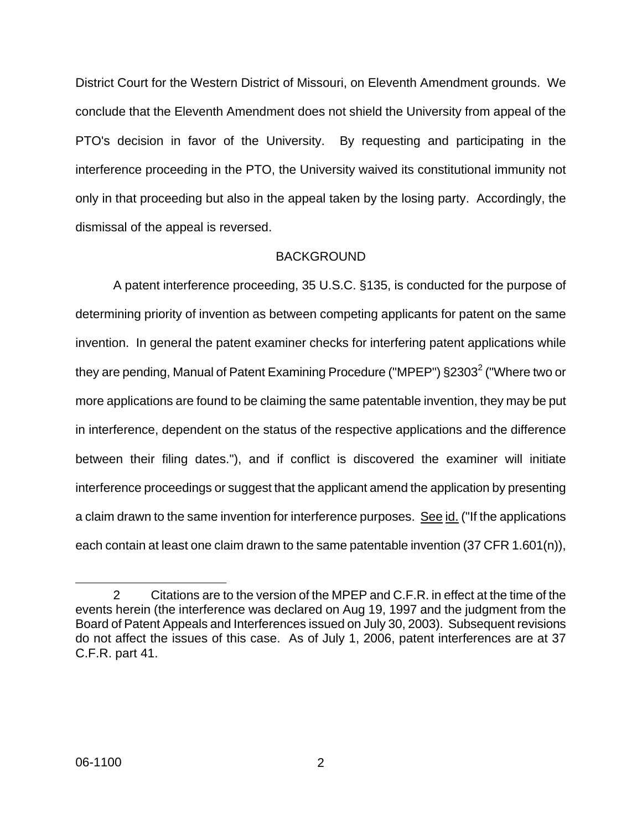District Court for the Western District of Missouri, on Eleventh Amendment grounds. We conclude that the Eleventh Amendment does not shield the University from appeal of the PTO's decision in favor of the University. By requesting and participating in the interference proceeding in the PTO, the University waived its constitutional immunity not only in that proceeding but also in the appeal taken by the losing party. Accordingly, the dismissal of the appeal is reversed.

### BACKGROUND

A patent interference proceeding, 35 U.S.C. §135, is conducted for the purpose of determining priority of invention as between competing applicants for patent on the same invention. In general the patent examiner checks for interfering patent applications while they are pending, Manual of Patent Examining Procedure [\(](#page-2-0)"MPEP")  $\S 2303^2$  ("Where two or more applications are found to be claiming the same patentable invention, they may be put in interference, dependent on the status of the respective applications and the difference between their filing dates."), and if conflict is discovered the examiner will initiate interference proceedings or suggest that the applicant amend the application by presenting a claim drawn to the same invention for interference purposes. See id. ("If the applications each contain at least one claim drawn to the same patentable invention (37 CFR 1.601(n)),

<span id="page-2-0"></span>l

<sup>2</sup> Citations are to the version of the MPEP and C.F.R. in effect at the time of the events herein (the interference was declared on Aug 19, 1997 and the judgment from the Board of Patent Appeals and Interferences issued on July 30, 2003). Subsequent revisions do not affect the issues of this case. As of July 1, 2006, patent interferences are at 37 C.F.R. part 41.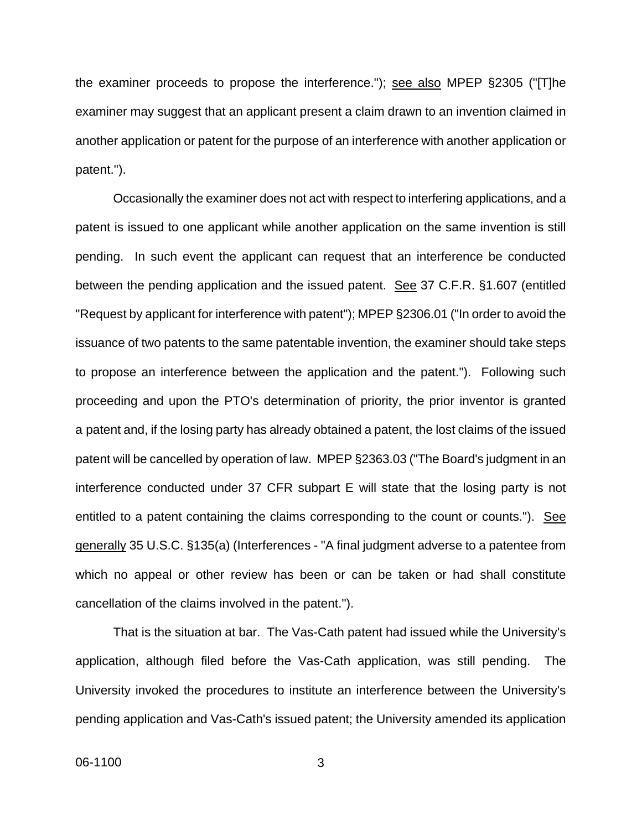the examiner proceeds to propose the interference."); see also MPEP §2305 ("[T]he examiner may suggest that an applicant present a claim drawn to an invention claimed in another application or patent for the purpose of an interference with another application or patent.").

Occasionally the examiner does not act with respect to interfering applications, and a patent is issued to one applicant while another application on the same invention is still pending. In such event the applicant can request that an interference be conducted between the pending application and the issued patent. See 37 C.F.R. §1.607 (entitled "Request by applicant for interference with patent"); MPEP §2306.01 ("In order to avoid the issuance of two patents to the same patentable invention, the examiner should take steps to propose an interference between the application and the patent."). Following such proceeding and upon the PTO's determination of priority, the prior inventor is granted a patent and, if the losing party has already obtained a patent, the lost claims of the issued patent will be cancelled by operation of law. MPEP §2363.03 ("The Board's judgment in an interference conducted under 37 CFR subpart E will state that the losing party is not entitled to a patent containing the claims corresponding to the count or counts."). See generally 35 U.S.C. §135(a) (Interferences - "A final judgment adverse to a patentee from which no appeal or other review has been or can be taken or had shall constitute cancellation of the claims involved in the patent.").

That is the situation at bar. The Vas-Cath patent had issued while the University's application, although filed before the Vas-Cath application, was still pending. The University invoked the procedures to institute an interference between the University's pending application and Vas-Cath's issued patent; the University amended its application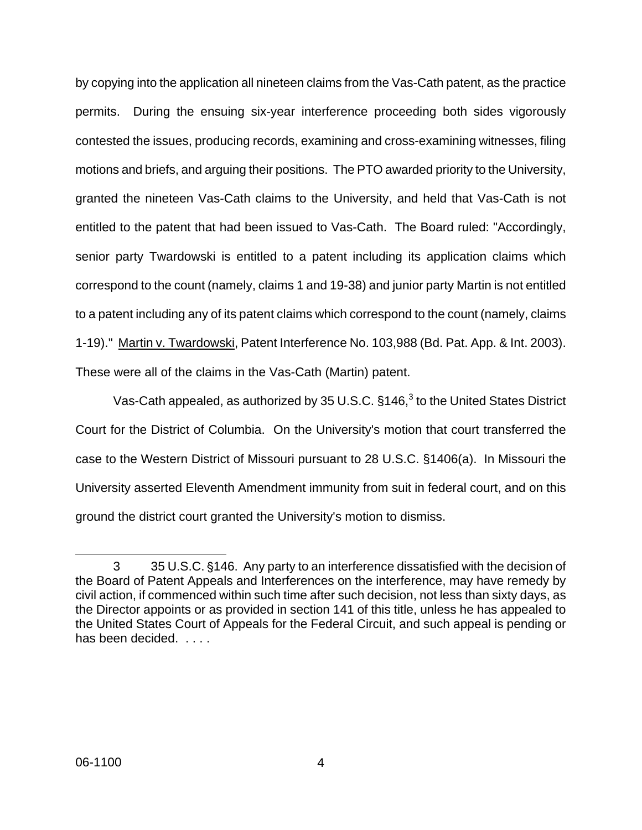by copying into the application all nineteen claims from the Vas-Cath patent, as the practice permits. During the ensuing six-year interference proceeding both sides vigorously contested the issues, producing records, examining and cross-examining witnesses, filing motions and briefs, and arguing their positions. The PTO awarded priority to the University, granted the nineteen Vas-Cath claims to the University, and held that Vas-Cath is not entitled to the patent that had been issued to Vas-Cath. The Board ruled: "Accordingly, senior party Twardowski is entitled to a patent including its application claims which correspond to the count (namely, claims 1 and 19-38) and junior party Martin is not entitled to a patent including any of its patent claims which correspond to the count (namely, claims 1-19)." Martin v. Twardowski, Patent Interference No. 103,988 (Bd. Pat. App. & Int. 2003). These were all of the claims in the Vas-Cath (Martin) patent.

Vas-Cath appealed, as authorized by [3](#page-4-0)5 U.S.C.  $§146<sup>3</sup>$  to the United States District Court for the District of Columbia. On the University's motion that court transferred the case to the Western District of Missouri pursuant to 28 U.S.C. §1406(a). In Missouri the University asserted Eleventh Amendment immunity from suit in federal court, and on this ground the district court granted the University's motion to dismiss.

<span id="page-4-0"></span>l

<sup>3 35</sup> U.S.C. §146. Any party to an interference dissatisfied with the decision of the Board of Patent Appeals and Interferences on the interference, may have remedy by civil action, if commenced within such time after such decision, not less than sixty days, as the Director appoints or as provided in section 141 of this title, unless he has appealed to the United States Court of Appeals for the Federal Circuit, and such appeal is pending or has been decided. . . . .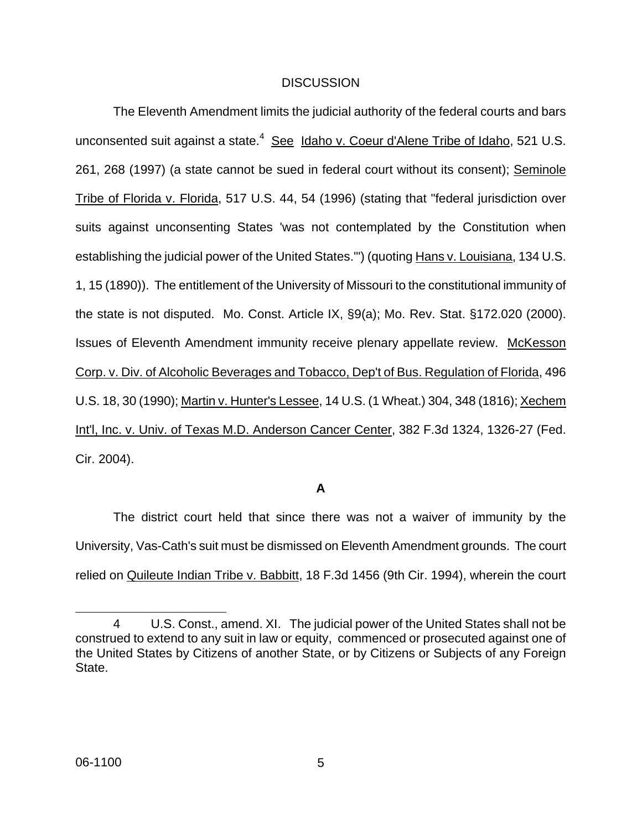#### **DISCUSSION**

The Eleventh Amendment limits the judicial authority of the federal courts and bars unconsented suit against a state.<sup>[4](#page-5-0)</sup> See Idaho v. Coeur d'Alene Tribe of Idaho, 521 U.S. 261, 268 (1997) (a state cannot be sued in federal court without its consent); Seminole Tribe of Florida v. Florida, 517 U.S. 44, 54 (1996) (stating that "federal jurisdiction over suits against unconsenting States 'was not contemplated by the Constitution when establishing the judicial power of the United States.'") (quoting Hans v. Louisiana, 134 U.S. 1, 15 (1890)). The entitlement of the University of Missouri to the constitutional immunity of the state is not disputed. Mo. Const. Article IX, §9(a); Mo. Rev. Stat. §172.020 (2000). Issues of Eleventh Amendment immunity receive plenary appellate review. McKesson Corp. v. Div. of Alcoholic Beverages and Tobacco, Dep't of Bus. Regulation of Florida, 496 U.S. 18, 30 (1990); Martin v. Hunter's Lessee, 14 U.S. (1 Wheat.) 304, 348 (1816); Xechem Int'l, Inc. v. Univ. of Texas M.D. Anderson Cancer Center, 382 F.3d 1324, 1326-27 (Fed. Cir. 2004).

# **A**

The district court held that since there was not a waiver of immunity by the University, Vas-Cath's suit must be dismissed on Eleventh Amendment grounds. The court relied on Quileute Indian Tribe v. Babbitt, 18 F.3d 1456 (9th Cir. 1994), wherein the court

<span id="page-5-0"></span>l

<sup>4</sup> U.S. Const., amend. XI. The judicial power of the United States shall not be construed to extend to any suit in law or equity, commenced or prosecuted against one of the United States by Citizens of another State, or by Citizens or Subjects of any Foreign State.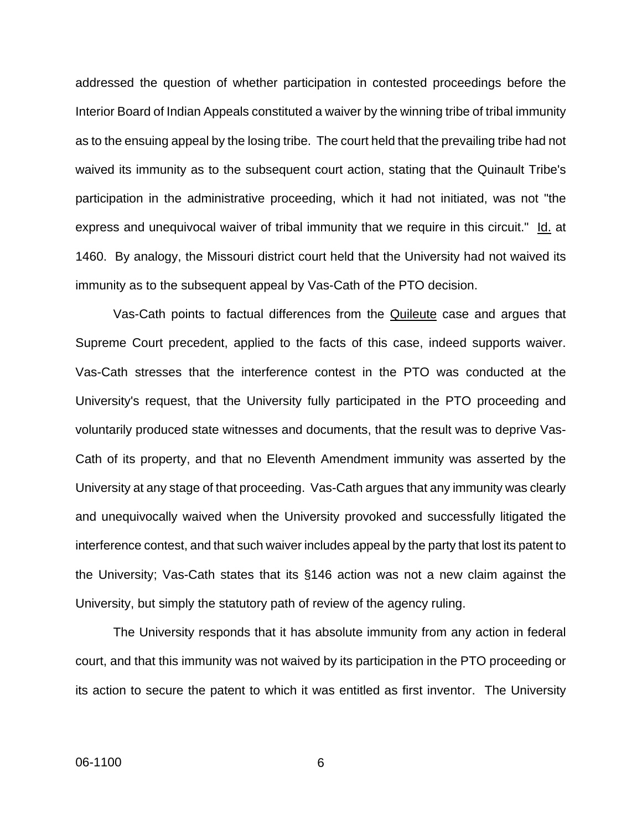addressed the question of whether participation in contested proceedings before the Interior Board of Indian Appeals constituted a waiver by the winning tribe of tribal immunity as to the ensuing appeal by the losing tribe. The court held that the prevailing tribe had not waived its immunity as to the subsequent court action, stating that the Quinault Tribe's participation in the administrative proceeding, which it had not initiated, was not "the express and unequivocal waiver of tribal immunity that we require in this circuit." Id. at 1460. By analogy, the Missouri district court held that the University had not waived its immunity as to the subsequent appeal by Vas-Cath of the PTO decision.

Vas-Cath points to factual differences from the Quileute case and argues that Supreme Court precedent, applied to the facts of this case, indeed supports waiver. Vas-Cath stresses that the interference contest in the PTO was conducted at the University's request, that the University fully participated in the PTO proceeding and voluntarily produced state witnesses and documents, that the result was to deprive Vas-Cath of its property, and that no Eleventh Amendment immunity was asserted by the University at any stage of that proceeding. Vas-Cath argues that any immunity was clearly and unequivocally waived when the University provoked and successfully litigated the interference contest, and that such waiver includes appeal by the party that lost its patent to the University; Vas-Cath states that its §146 action was not a new claim against the University, but simply the statutory path of review of the agency ruling.

The University responds that it has absolute immunity from any action in federal court, and that this immunity was not waived by its participation in the PTO proceeding or its action to secure the patent to which it was entitled as first inventor. The University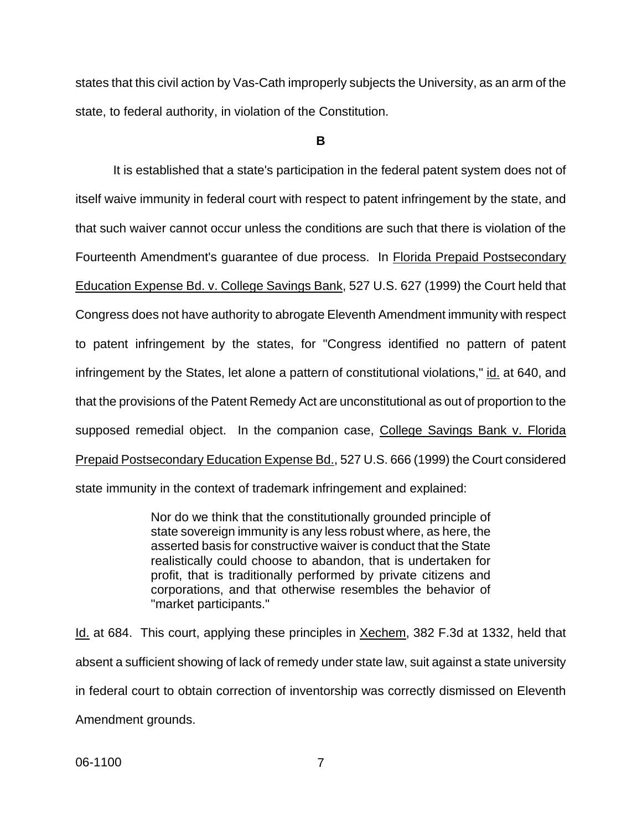states that this civil action by Vas-Cath improperly subjects the University, as an arm of the state, to federal authority, in violation of the Constitution.

**B**

It is established that a state's participation in the federal patent system does not of itself waive immunity in federal court with respect to patent infringement by the state, and that such waiver cannot occur unless the conditions are such that there is violation of the Fourteenth Amendment's guarantee of due process. In Florida Prepaid Postsecondary Education Expense Bd. v. College Savings Bank, 527 U.S. 627 (1999) the Court held that Congress does not have authority to abrogate Eleventh Amendment immunity with respect to patent infringement by the states, for "Congress identified no pattern of patent infringement by the States, let alone a pattern of constitutional violations," id. at 640, and that the provisions of the Patent Remedy Act are unconstitutional as out of proportion to the supposed remedial object. In the companion case, College Savings Bank v. Florida Prepaid Postsecondary Education Expense Bd., 527 U.S. 666 (1999) the Court considered state immunity in the context of trademark infringement and explained:

> Nor do we think that the constitutionally grounded principle of state sovereign immunity is any less robust where, as here, the asserted basis for constructive waiver is conduct that the State realistically could choose to abandon, that is undertaken for profit, that is traditionally performed by private citizens and corporations, and that otherwise resembles the behavior of "market participants."

Id. at 684. This court, applying these principles in Xechem, 382 F.3d at 1332, held that absent a sufficient showing of lack of remedy under state law, suit against a state university in federal court to obtain correction of inventorship was correctly dismissed on Eleventh Amendment grounds.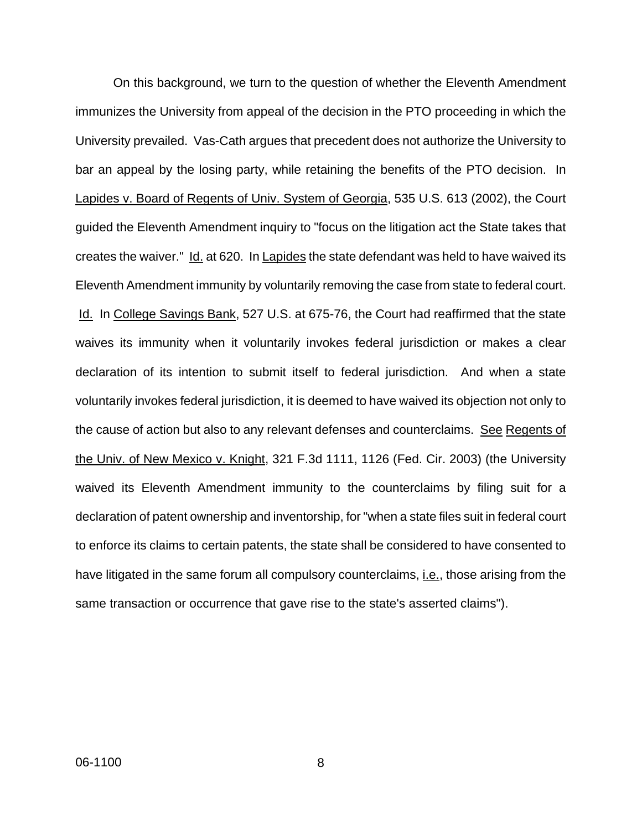On this background, we turn to the question of whether the Eleventh Amendment immunizes the University from appeal of the decision in the PTO proceeding in which the University prevailed. Vas-Cath argues that precedent does not authorize the University to bar an appeal by the losing party, while retaining the benefits of the PTO decision. In Lapides v. Board of Regents of Univ. System of Georgia, 535 U.S. 613 (2002), the Court guided the Eleventh Amendment inquiry to "focus on the litigation act the State takes that creates the waiver." Id. at 620. In Lapides the state defendant was held to have waived its Eleventh Amendment immunity by voluntarily removing the case from state to federal court. Id. In College Savings Bank, 527 U.S. at 675-76, the Court had reaffirmed that the state waives its immunity when it voluntarily invokes federal jurisdiction or makes a clear declaration of its intention to submit itself to federal jurisdiction. And when a state voluntarily invokes federal jurisdiction, it is deemed to have waived its objection not only to the cause of action but also to any relevant defenses and counterclaims. See Regents of the Univ. of New Mexico v. Knight, 321 F.3d 1111, 1126 (Fed. Cir. 2003) (the University waived its Eleventh Amendment immunity to the counterclaims by filing suit for a declaration of patent ownership and inventorship, for "when a state files suit in federal court to enforce its claims to certain patents, the state shall be considered to have consented to have litigated in the same forum all compulsory counterclaims, i.e., those arising from the same transaction or occurrence that gave rise to the state's asserted claims").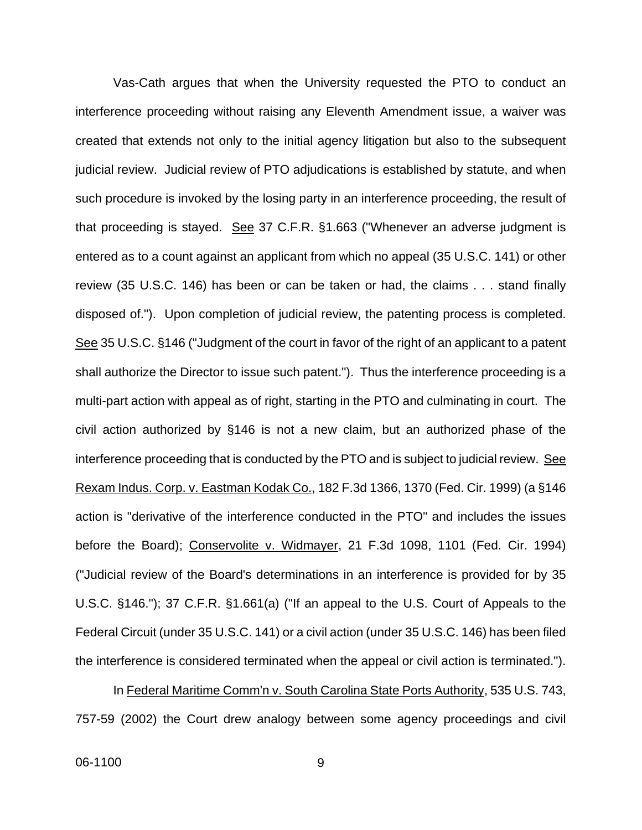Vas-Cath argues that when the University requested the PTO to conduct an interference proceeding without raising any Eleventh Amendment issue, a waiver was created that extends not only to the initial agency litigation but also to the subsequent judicial review. Judicial review of PTO adjudications is established by statute, and when such procedure is invoked by the losing party in an interference proceeding, the result of that proceeding is stayed. See 37 C.F.R. §1.663 ("Whenever an adverse judgment is entered as to a count against an applicant from which no appeal (35 U.S.C. 141) or other review (35 U.S.C. 146) has been or can be taken or had, the claims . . . stand finally disposed of."). Upon completion of judicial review, the patenting process is completed. See 35 U.S.C. §146 ("Judgment of the court in favor of the right of an applicant to a patent shall authorize the Director to issue such patent."). Thus the interference proceeding is a multi-part action with appeal as of right, starting in the PTO and culminating in court. The civil action authorized by §146 is not a new claim, but an authorized phase of the interference proceeding that is conducted by the PTO and is subject to judicial review. See Rexam Indus. Corp. v. Eastman Kodak Co., 182 F.3d 1366, 1370 (Fed. Cir. 1999) (a §146 action is "derivative of the interference conducted in the PTO" and includes the issues before the Board); Conservolite v. Widmayer, 21 F.3d 1098, 1101 (Fed. Cir. 1994) ("Judicial review of the Board's determinations in an interference is provided for by 35 U.S.C. §146."); 37 C.F.R. §1.661(a) ("If an appeal to the U.S. Court of Appeals to the Federal Circuit (under 35 U.S.C. 141) or a civil action (under 35 U.S.C. 146) has been filed the interference is considered terminated when the appeal or civil action is terminated.").

 In Federal Maritime Comm'n v. South Carolina State Ports Authority, 535 U.S. 743, 757-59 (2002) the Court drew analogy between some agency proceedings and civil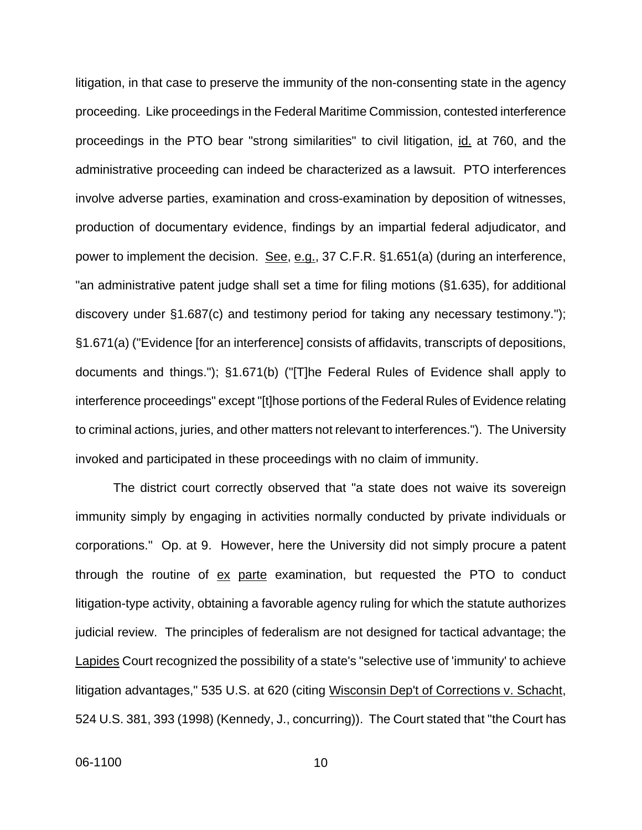litigation, in that case to preserve the immunity of the non-consenting state in the agency proceeding. Like proceedings in the Federal Maritime Commission, contested interference proceedings in the PTO bear "strong similarities" to civil litigation, id. at 760, and the administrative proceeding can indeed be characterized as a lawsuit. PTO interferences involve adverse parties, examination and cross-examination by deposition of witnesses, production of documentary evidence, findings by an impartial federal adjudicator, and power to implement the decision. See, e.g., 37 C.F.R. §1.651(a) (during an interference, "an administrative patent judge shall set a time for filing motions (§1.635), for additional discovery under §1.687(c) and testimony period for taking any necessary testimony."); §1.671(a) ("Evidence [for an interference] consists of affidavits, transcripts of depositions, documents and things."); §1.671(b) ("[T]he Federal Rules of Evidence shall apply to interference proceedings" except "[t]hose portions of the Federal Rules of Evidence relating to criminal actions, juries, and other matters not relevant to interferences."). The University invoked and participated in these proceedings with no claim of immunity.

The district court correctly observed that "a state does not waive its sovereign immunity simply by engaging in activities normally conducted by private individuals or corporations." Op. at 9. However, here the University did not simply procure a patent through the routine of ex parte examination, but requested the PTO to conduct litigation-type activity, obtaining a favorable agency ruling for which the statute authorizes judicial review. The principles of federalism are not designed for tactical advantage; the Lapides Court recognized the possibility of a state's "selective use of 'immunity' to achieve litigation advantages," 535 U.S. at 620 (citing Wisconsin Dep't of Corrections v. Schacht, 524 U.S. 381, 393 (1998) (Kennedy, J., concurring)). The Court stated that "the Court has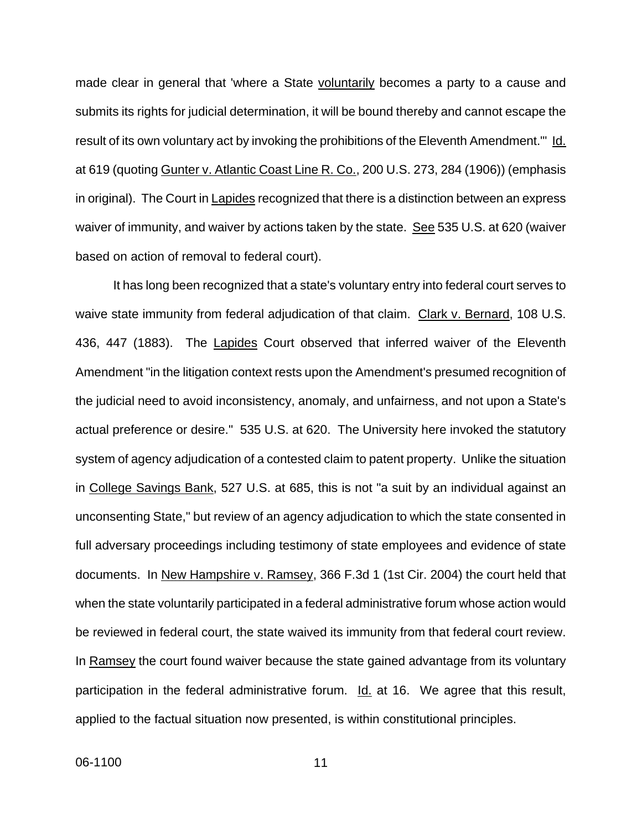made clear in general that 'where a State voluntarily becomes a party to a cause and submits its rights for judicial determination, it will be bound thereby and cannot escape the result of its own voluntary act by invoking the prohibitions of the Eleventh Amendment.'" Id. at 619 (quoting Gunter v. Atlantic Coast Line R. Co., 200 U.S. 273, 284 (1906)) (emphasis in original). The Court in Lapides recognized that there is a distinction between an express waiver of immunity, and waiver by actions taken by the state. See 535 U.S. at 620 (waiver based on action of removal to federal court).

 It has long been recognized that a state's voluntary entry into federal court serves to waive state immunity from federal adjudication of that claim. Clark v. Bernard, 108 U.S. 436, 447 (1883). The Lapides Court observed that inferred waiver of the Eleventh Amendment "in the litigation context rests upon the Amendment's presumed recognition of the judicial need to avoid inconsistency, anomaly, and unfairness, and not upon a State's actual preference or desire." 535 U.S. at 620. The University here invoked the statutory system of agency adjudication of a contested claim to patent property. Unlike the situation in College Savings Bank, 527 U.S. at 685, this is not "a suit by an individual against an unconsenting State," but review of an agency adjudication to which the state consented in full adversary proceedings including testimony of state employees and evidence of state documents. In New Hampshire v. Ramsey, 366 F.3d 1 (1st Cir. 2004) the court held that when the state voluntarily participated in a federal administrative forum whose action would be reviewed in federal court, the state waived its immunity from that federal court review. In Ramsey the court found waiver because the state gained advantage from its voluntary participation in the federal administrative forum. Id. at 16. We agree that this result, applied to the factual situation now presented, is within constitutional principles.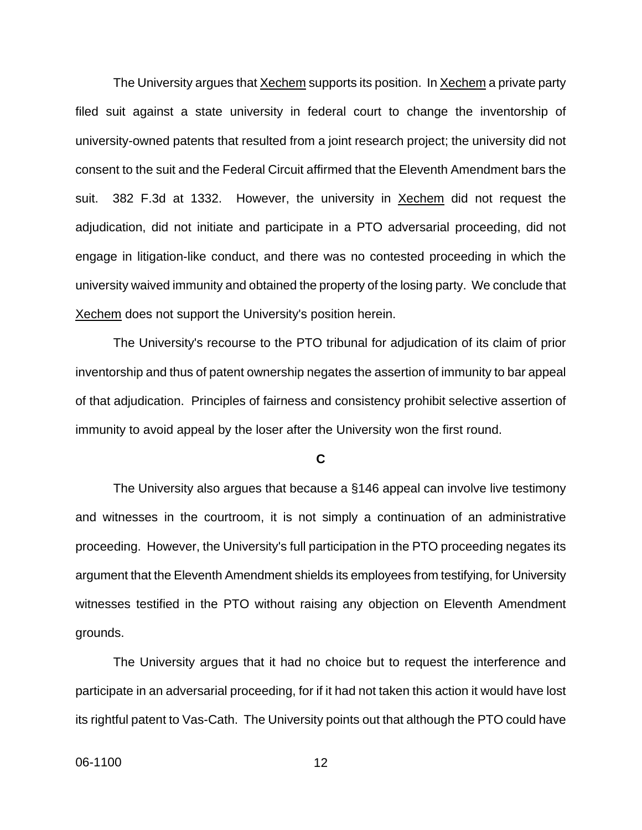The University argues that Xechem supports its position. In Xechem a private party filed suit against a state university in federal court to change the inventorship of university-owned patents that resulted from a joint research project; the university did not consent to the suit and the Federal Circuit affirmed that the Eleventh Amendment bars the suit. 382 F.3d at 1332. However, the university in Xechem did not request the adjudication, did not initiate and participate in a PTO adversarial proceeding, did not engage in litigation-like conduct, and there was no contested proceeding in which the university waived immunity and obtained the property of the losing party. We conclude that Xechem does not support the University's position herein.

 The University's recourse to the PTO tribunal for adjudication of its claim of prior inventorship and thus of patent ownership negates the assertion of immunity to bar appeal of that adjudication. Principles of fairness and consistency prohibit selective assertion of immunity to avoid appeal by the loser after the University won the first round.

#### **C**

The University also argues that because a §146 appeal can involve live testimony and witnesses in the courtroom, it is not simply a continuation of an administrative proceeding. However, the University's full participation in the PTO proceeding negates its argument that the Eleventh Amendment shields its employees from testifying, for University witnesses testified in the PTO without raising any objection on Eleventh Amendment grounds.

The University argues that it had no choice but to request the interference and participate in an adversarial proceeding, for if it had not taken this action it would have lost its rightful patent to Vas-Cath. The University points out that although the PTO could have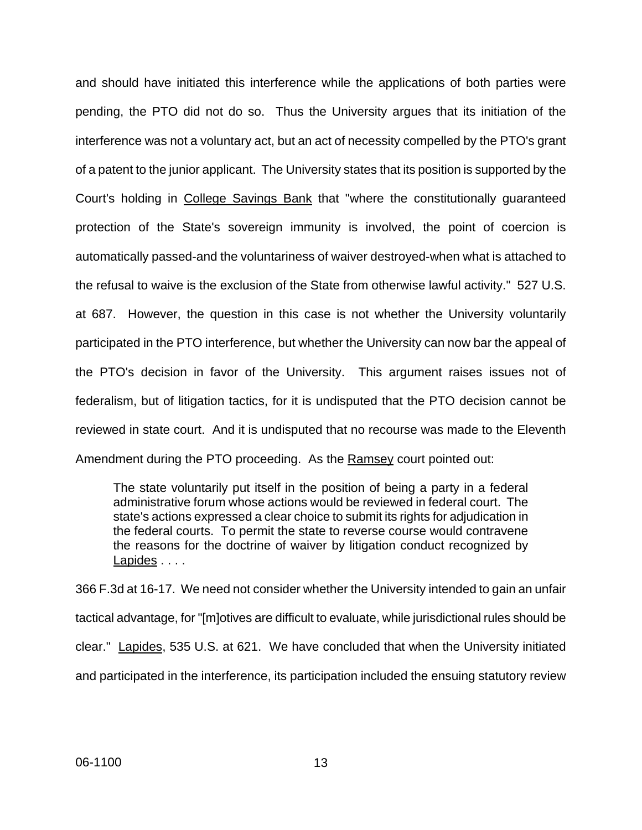and should have initiated this interference while the applications of both parties were pending, the PTO did not do so. Thus the University argues that its initiation of the interference was not a voluntary act, but an act of necessity compelled by the PTO's grant of a patent to the junior applicant. The University states that its position is supported by the Court's holding in College Savings Bank that "where the constitutionally guaranteed protection of the State's sovereign immunity is involved, the point of coercion is automatically passed-and the voluntariness of waiver destroyed-when what is attached to the refusal to waive is the exclusion of the State from otherwise lawful activity." 527 U.S. at 687. However, the question in this case is not whether the University voluntarily participated in the PTO interference, but whether the University can now bar the appeal of the PTO's decision in favor of the University. This argument raises issues not of federalism, but of litigation tactics, for it is undisputed that the PTO decision cannot be reviewed in state court. And it is undisputed that no recourse was made to the Eleventh Amendment during the PTO proceeding. As the Ramsey court pointed out:

The state voluntarily put itself in the position of being a party in a federal administrative forum whose actions would be reviewed in federal court. The state's actions expressed a clear choice to submit its rights for adjudication in the federal courts. To permit the state to reverse course would contravene the reasons for the doctrine of waiver by litigation conduct recognized by Lapides . . . .

366 F.3d at 16-17. We need not consider whether the University intended to gain an unfair tactical advantage, for "[m]otives are difficult to evaluate, while jurisdictional rules should be clear." Lapides, 535 U.S. at 621. We have concluded that when the University initiated and participated in the interference, its participation included the ensuing statutory review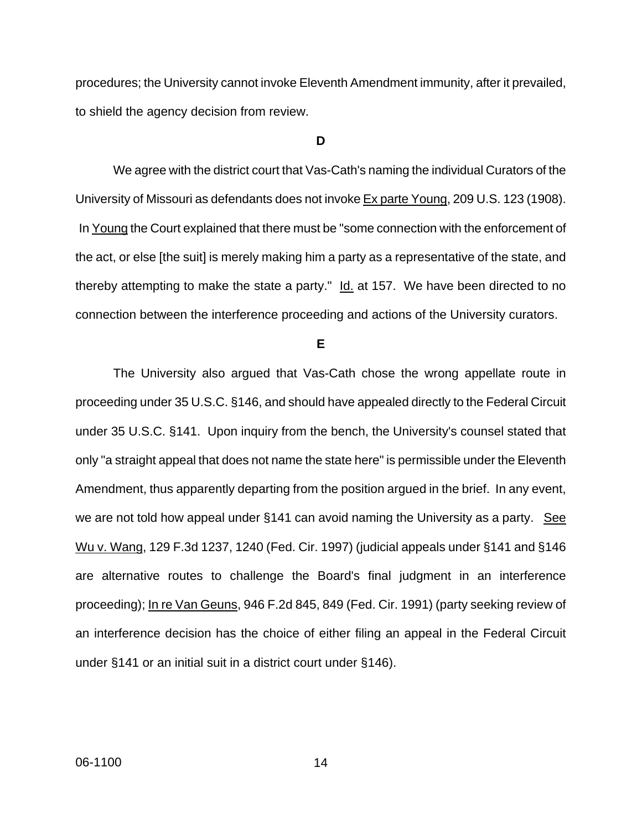procedures; the University cannot invoke Eleventh Amendment immunity, after it prevailed, to shield the agency decision from review.

#### **D**

We agree with the district court that Vas-Cath's naming the individual Curators of the University of Missouri as defendants does not invoke Ex parte Young, 209 U.S. 123 (1908). In Young the Court explained that there must be "some connection with the enforcement of the act, or else [the suit] is merely making him a party as a representative of the state, and thereby attempting to make the state a party."  $Id.$  at 157. We have been directed to no connection between the interference proceeding and actions of the University curators.

**E**

The University also argued that Vas-Cath chose the wrong appellate route in proceeding under 35 U.S.C. §146, and should have appealed directly to the Federal Circuit under 35 U.S.C. §141. Upon inquiry from the bench, the University's counsel stated that only "a straight appeal that does not name the state here" is permissible under the Eleventh Amendment, thus apparently departing from the position argued in the brief. In any event, we are not told how appeal under  $§141$  can avoid naming the University as a party. See Wu v. Wang, 129 F.3d 1237, 1240 (Fed. Cir. 1997) (judicial appeals under §141 and §146 are alternative routes to challenge the Board's final judgment in an interference proceeding); In re Van Geuns, 946 F.2d 845, 849 (Fed. Cir. 1991) (party seeking review of an interference decision has the choice of either filing an appeal in the Federal Circuit under §141 or an initial suit in a district court under §146).